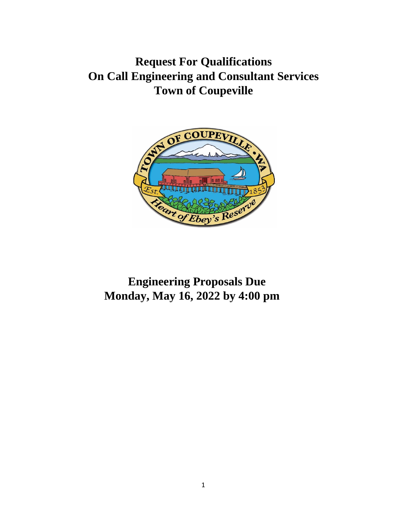**Request For Qualifications On Call Engineering and Consultant Services Town of Coupeville**



# **Engineering Proposals Due Monday, May 16, 2022 by 4:00 pm**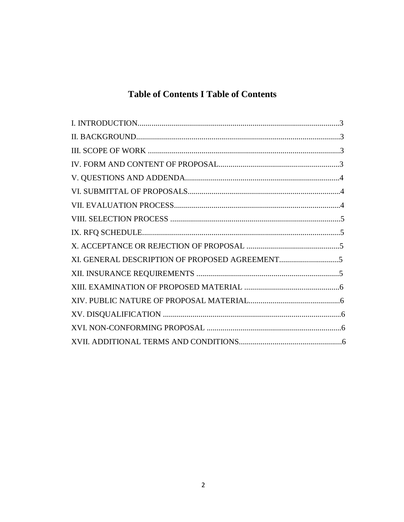# **Table of Contents I Table of Contents**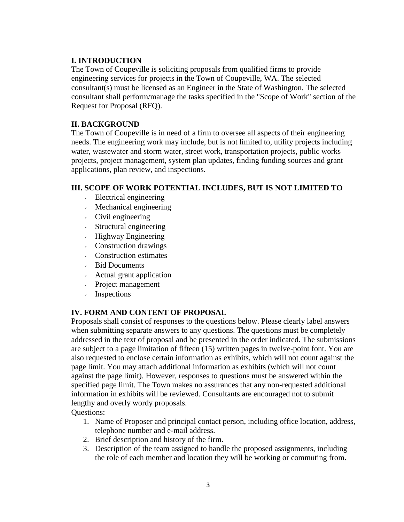#### **I. INTRODUCTION**

The Town of Coupeville is soliciting proposals from qualified firms to provide engineering services for projects in the Town of Coupeville, WA. The selected consultant(s) must be licensed as an Engineer in the State of Washington. The selected consultant shall perform/manage the tasks specified in the "Scope of Work" section of the Request for Proposal (RFQ).

#### **II. BACKGROUND**

The Town of Coupeville is in need of a firm to oversee all aspects of their engineering needs. The engineering work may include, but is not limited to, utility projects including water, wastewater and storm water, street work, transportation projects, public works projects, project management, system plan updates, finding funding sources and grant applications, plan review, and inspections.

# **III. SCOPE OF WORK POTENTIAL INCLUDES, BUT IS NOT LIMITED TO**

- Electrical engineering
- Mechanical engineering
- Civil engineering
- Structural engineering
- Highway Engineering
- Construction drawings
- Construction estimates
- Bid Documents
- Actual grant application
- Project management
- Inspections

# **IV. FORM AND CONTENT OF PROPOSAL**

Proposals shall consist of responses to the questions below. Please clearly label answers when submitting separate answers to any questions. The questions must be completely addressed in the text of proposal and be presented in the order indicated. The submissions are subject to a page limitation of fifteen (15) written pages in twelve-point font. You are also requested to enclose certain information as exhibits, which will not count against the page limit. You may attach additional information as exhibits (which will not count against the page limit). However, responses to questions must be answered within the specified page limit. The Town makes no assurances that any non-requested additional information in exhibits will be reviewed. Consultants are encouraged not to submit lengthy and overly wordy proposals.

Questions:

- 1. Name of Proposer and principal contact person, including office location, address, telephone number and e-mail address.
- 2. Brief description and history of the firm.
- 3. Description of the team assigned to handle the proposed assignments, including the role of each member and location they will be working or commuting from.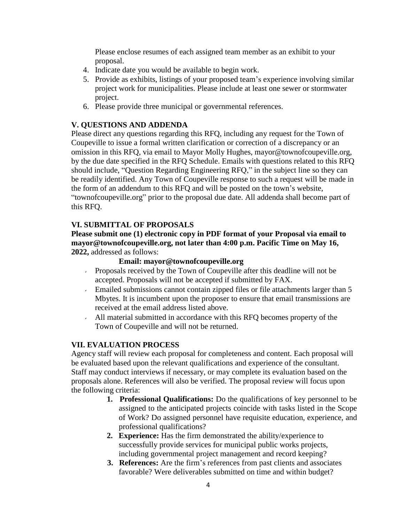Please enclose resumes of each assigned team member as an exhibit to your proposal.

- 4. Indicate date you would be available to begin work.
- 5. Provide as exhibits, listings of your proposed team's experience involving similar project work for municipalities. Please include at least one sewer or stormwater project.
- 6. Please provide three municipal or governmental references.

#### **V. QUESTIONS AND ADDENDA**

Please direct any questions regarding this RFQ, including any request for the Town of Coupeville to issue a formal written clarification or correction of a discrepancy or an omission in this RFQ, via email to Mayor Molly Hugh[es, mayor@townofcoupeville.org,](mailto:mayor@townofcoupeville.org) by the due date specified in the RFQ Schedule. Emails with questions related to this RFQ should include, "Question Regarding Engineering RFQ," in the subject line so they can be readily identified. Any Town of Coupeville response to such a request will be made in the form of an addendum to this RFQ and will be posted on the town's website, "townofcoupeville.org" prior to the proposal due date. All addenda shall become part of this RFQ.

#### **VI. SUBMITTAL OF PROPOSALS**

#### **Please submit one (1) electronic copy in PDF format of your Proposal via email to [mayor@townofcoupeville.org,](mailto:mayor@townofcoupeville.org) not later than 4:00 p.m. Pacific Time on May 16, 2022,** addressed as follows:

#### **Email: [mayor@townofcoupeville.org](mailto:mayor@townofcoupeville.org)**

- Proposals received by the Town of Coupeville after this deadline will not be accepted. Proposals will not be accepted if submitted by FAX.
- Emailed submissions cannot contain zipped files or file attachments larger than 5 Mbytes. It is incumbent upon the proposer to ensure that email transmissions are received at the email address listed above.
- All material submitted in accordance with this RFQ becomes property of the  $\mathbf{v}$ Town of Coupeville and will not be returned.

#### **VII. EVALUATION PROCESS**

Agency staff will review each proposal for completeness and content. Each proposal will be evaluated based upon the relevant qualifications and experience of the consultant. Staff may conduct interviews if necessary, or may complete its evaluation based on the proposals alone. References will also be verified. The proposal review will focus upon the following criteria:

- **1. Professional Qualifications:** Do the qualifications of key personnel to be assigned to the anticipated projects coincide with tasks listed in the Scope of Work? Do assigned personnel have requisite education, experience, and professional qualifications?
- **2. Experience:** Has the firm demonstrated the ability/experience to successfully provide services for municipal public works projects, including governmental project management and record keeping?
- **3. References:** Are the firm's references from past clients and associates favorable? Were deliverables submitted on time and within budget?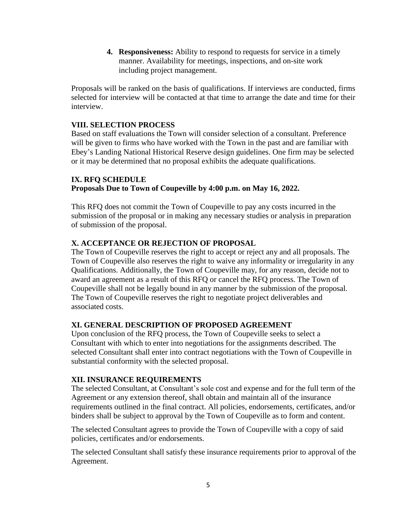**4. Responsiveness:** Ability to respond to requests for service in a timely manner. Availability for meetings, inspections, and on-site work including project management.

Proposals will be ranked on the basis of qualifications. If interviews are conducted, firms selected for interview will be contacted at that time to arrange the date and time for their interview.

### **VIII. SELECTION PROCESS**

Based on staff evaluations the Town will consider selection of a consultant. Preference will be given to firms who have worked with the Town in the past and are familiar with Ebey's Landing National Historical Reserve design guidelines. One firm may be selected or it may be determined that no proposal exhibits the adequate qualifications.

# **IX. RFQ SCHEDULE Proposals Due to Town of Coupeville by 4:00 p.m. on May 16, 2022.**

This RFQ does not commit the Town of Coupeville to pay any costs incurred in the submission of the proposal or in making any necessary studies or analysis in preparation of submission of the proposal.

# **X. ACCEPTANCE OR REJECTION OF PROPOSAL**

The Town of Coupeville reserves the right to accept or reject any and all proposals. The Town of Coupeville also reserves the right to waive any informality or irregularity in any Qualifications. Additionally, the Town of Coupeville may, for any reason, decide not to award an agreement as a result of this RFQ or cancel the RFQ process. The Town of Coupeville shall not be legally bound in any manner by the submission of the proposal. The Town of Coupeville reserves the right to negotiate project deliverables and associated costs.

# **XI. GENERAL DESCRIPTION OF PROPOSED AGREEMENT**

Upon conclusion of the RFQ process, the Town of Coupeville seeks to select a Consultant with which to enter into negotiations for the assignments described. The selected Consultant shall enter into contract negotiations with the Town of Coupeville in substantial conformity with the selected proposal.

# **XII. INSURANCE REQUIREMENTS**

The selected Consultant, at Consultant's sole cost and expense and for the full term of the Agreement or any extension thereof, shall obtain and maintain all of the insurance requirements outlined in the final contract. All policies, endorsements, certificates, and/or binders shall be subject to approval by the Town of Coupeville as to form and content.

The selected Consultant agrees to provide the Town of Coupeville with a copy of said policies, certificates and/or endorsements.

The selected Consultant shall satisfy these insurance requirements prior to approval of the Agreement.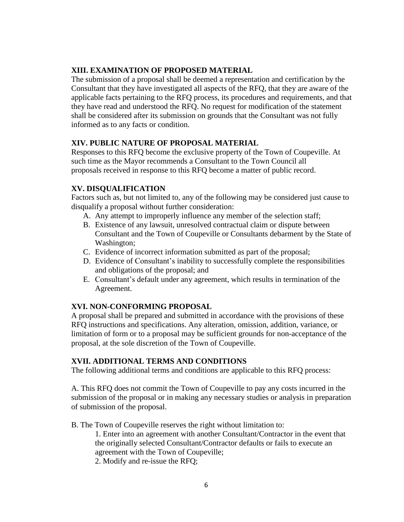#### **XIII. EXAMINATION OF PROPOSED MATERIAL**

The submission of a proposal shall be deemed a representation and certification by the Consultant that they have investigated all aspects of the RFQ, that they are aware of the applicable facts pertaining to the RFQ process, its procedures and requirements, and that they have read and understood the RFQ. No request for modification of the statement shall be considered after its submission on grounds that the Consultant was not fully informed as to any facts or condition.

#### **XIV. PUBLIC NATURE OF PROPOSAL MATERIAL**

Responses to this RFQ become the exclusive property of the Town of Coupeville. At such time as the Mayor recommends a Consultant to the Town Council all proposals received in response to this RFQ become a matter of public record.

#### **XV. DISQUALIFICATION**

Factors such as, but not limited to, any of the following may be considered just cause to disqualify a proposal without further consideration:

- A. Any attempt to improperly influence any member of the selection staff;
- B. Existence of any lawsuit, unresolved contractual claim or dispute between Consultant and the Town of Coupeville or Consultants debarment by the State of Washington;
- C. Evidence of incorrect information submitted as part of the proposal;
- D. Evidence of Consultant's inability to successfully complete the responsibilities and obligations of the proposal; and
- E. Consultant's default under any agreement, which results in termination of the Agreement.

#### **XVI. NON-CONFORMING PROPOSAL**

A proposal shall be prepared and submitted in accordance with the provisions of these RFQ instructions and specifications. Any alteration, omission, addition, variance, or limitation of form or to a proposal may be sufficient grounds for non-acceptance of the proposal, at the sole discretion of the Town of Coupeville.

#### **XVII. ADDITIONAL TERMS AND CONDITIONS**

The following additional terms and conditions are applicable to this RFQ process:

A. This RFQ does not commit the Town of Coupeville to pay any costs incurred in the submission of the proposal or in making any necessary studies or analysis in preparation of submission of the proposal.

B. The Town of Coupeville reserves the right without limitation to:

1. Enter into an agreement with another Consultant/Contractor in the event that the originally selected Consultant/Contractor defaults or fails to execute an agreement with the Town of Coupeville;

2. Modify and re-issue the RFQ;